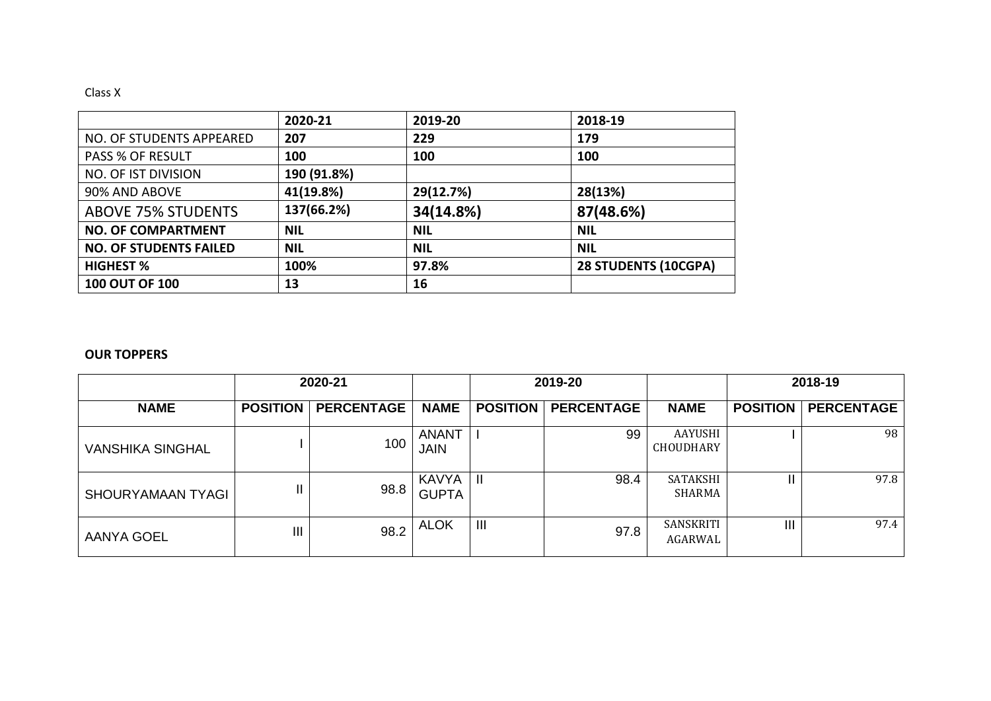## Class X

|                               | 2020-21     | 2019-20    | 2018-19              |
|-------------------------------|-------------|------------|----------------------|
| NO. OF STUDENTS APPEARED      | 207         | 229        | 179                  |
| <b>PASS % OF RESULT</b>       | 100         | 100        | 100                  |
| <b>NO. OF IST DIVISION</b>    | 190 (91.8%) |            |                      |
| 90% AND ABOVE                 | 41(19.8%)   | 29(12.7%)  | 28(13%)              |
| <b>ABOVE 75% STUDENTS</b>     | 137(66.2%)  | 34(14.8%)  | 87(48.6%)            |
| <b>NO. OF COMPARTMENT</b>     | <b>NIL</b>  | <b>NIL</b> | <b>NIL</b>           |
| <b>NO. OF STUDENTS FAILED</b> | <b>NIL</b>  | <b>NIL</b> | <b>NIL</b>           |
| <b>HIGHEST %</b>              | 100%        | 97.8%      | 28 STUDENTS (10CGPA) |
| <b>100 OUT OF 100</b>         | 13          | 16         |                      |

## **OUR TOPPERS**

|                         |                 | 2020-21           |                             |                 | 2019-20           |                                    | 2018-19         |                   |  |
|-------------------------|-----------------|-------------------|-----------------------------|-----------------|-------------------|------------------------------------|-----------------|-------------------|--|
| <b>NAME</b>             | <b>POSITION</b> | <b>PERCENTAGE</b> | <b>NAME</b>                 | <b>POSITION</b> | <b>PERCENTAGE</b> | <b>NAME</b>                        | <b>POSITION</b> | <b>PERCENTAGE</b> |  |
| <b>VANSHIKA SINGHAL</b> |                 | 100               | <b>ANANT</b><br><b>JAIN</b> |                 | 99                | <b>AAYUSHI</b><br><b>CHOUDHARY</b> |                 | 98                |  |
| SHOURYAMAAN TYAGI       | II              | 98.8              | KAVYA<br><b>GUPTA</b>       | $\mathbf{H}$    | 98.4              | SATAKSHI<br>SHARMA                 | Ш               | 97.8              |  |
| <b>AANYA GOEL</b>       | Ш               | 98.2              | <b>ALOK</b>                 | $\mathbf{III}$  | 97.8              | SANSKRITI<br>AGARWAL               | III             | 97.4              |  |